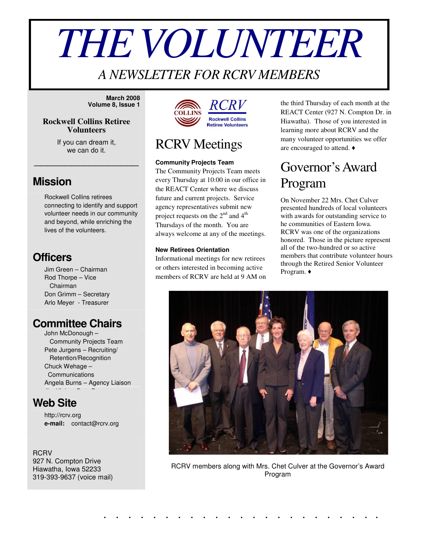# *THEVOLUNTEER*

## *A NEWSLETTER FOR RCRV MEMBERS*

**March 2008 Volume 8, Issue 1**

### **Rockwell Collins Retiree Volunteers**

If you can dream it, we can do it.

\_\_\_\_\_\_\_\_\_\_\_\_\_\_\_\_\_

### **Mission**

Rockwell Collins retirees connecting to identify and support volunteer needs in our community and beyond, while enriching the lives of the volunteers.

### **Officers**

Jim Green – Chairman Rod Thorpe – Vice Chairman Don Grimm – Secretary Arlo Meyer - Treasurer

### **Committee Chairs**

John McDonough – Community Projects Team Pete Jurgens – Recruiting/ Retention/Recognition Chuck Wehage – Communications Angela Burns – Agency Liaison

### **Web Site**

http://rcrv.org **e-mail:** contact@rcrv.org

**RCRV** 927 N. Compton Drive Hiawatha, Iowa 52233 319-393-9637 (voice mail)



## RCRV Meetings

#### **Community Projects Team**

The Community Projects Team meets every Thursday at 10:00 in our office in the REACT Center where we discuss future and current projects. Service agency representatives submit new project requests on the  $2^{nd}$  and  $4^{th}$ Thursdays of the month. You are always welcome at any of the meetings.

#### **New Retirees Orientation**

Informational meetings for new retirees or others interested in becoming active members of RCRV are held at 9 AM on the third Thursday of each month at the REACT Center (927 N. Compton Dr. in Hiawatha). Those of you interested in learning more about RCRV and the many volunteer opportunities we offer are encouraged to attend.

# Governor'sAward Program

On November 22 Mrs. Chet Culver presented hundreds of local volunteers with awards for outstanding service to he communities of Eastern Iowa. RCRV was one of the organizations honored. Those in the picture represent all of the two-hundred or so active members that contribute volunteer hours through the Retired Senior Volunteer Program.



RCRV members along with Mrs. Chet Culver at the Governor's Award Program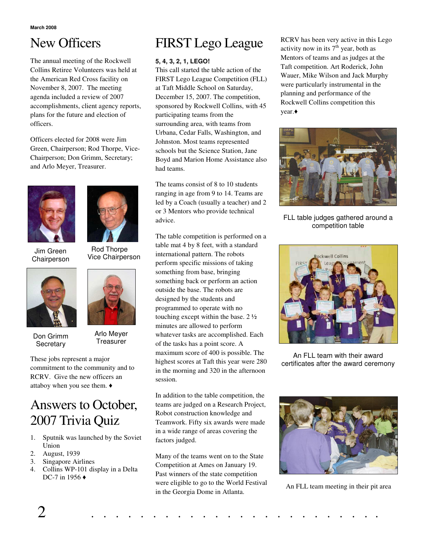# New Officers

The annual meeting of the Rockwell Collins Retiree Volunteers was held at the American Red Cross facility on November 8, 2007. The meeting agenda included a review of 2007 accomplishments, client agency reports, plans for the future and election of officers.

Officers elected for 2008 were Jim Green, Chairperson; Rod Thorpe, Vice-Chairperson; Don Grimm, Secretary; and Arlo Meyer, Treasurer.



Jim Green **Chairperson** 



Don Grimm **Secretary** 



Arlo Meyer **Treasurer** 

These jobs represent a major commitment to the community and to RCRV. Give the new officers an attaboy when you see them.

# Answers to October, 2007 Trivia Quiz

- 1. Sputnik was launched by the Soviet Union
- 2. August, 1939
- 3. Singapore Airlines
- 4. Collins WP-101 display in a Delta DC-7 in 1956 ♦

# FIRST Lego League

### **5, 4, 3, 2, 1, LEGO!**

This call started the table action of the FIRST Lego League Competition (FLL) at Taft Middle School on Saturday, December 15, 2007. The competition, sponsored by Rockwell Collins, with 45 participating teams from the surrounding area, with teams from Urbana, Cedar Falls, Washington, and Johnston. Most teams represented schools but the Science Station, Jane Boyd and Marion Home Assistance also had teams.

The teams consist of 8 to 10 students ranging in age from 9 to 14. Teams are led by a Coach (usually a teacher) and 2 or 3 Mentors who provide technical advice.

The table competition is performed on a table mat 4 by 8 feet, with a standard international pattern. The robots perform specific missions of taking something from base, bringing something back or perform an action outside the base. The robots are designed by the students and programmed to operate with no touching except within the base. 2 ½ minutes are allowed to perform whatever tasks are accomplished. Each of the tasks has a point score. A maximum score of 400 is possible. The highest scores at Taft this year were 280 in the morning and 320 in the afternoon session.

In addition to the table competition, the teams are judged on a Research Project, Robot construction knowledge and Teamwork. Fifty six awards were made in a wide range of areas covering the factors judged.

Many of the teams went on to the State Competition at Ames on January 19. Past winners of the state competition were eligible to go to the World Festival in the Georgia Dome in Atlanta.

RCRV has been very active in this Lego activity now in its  $7<sup>th</sup>$  year, both as Mentors of teams and as judges at the Taft competition. Art Roderick, John Wauer, Mike Wilson and Jack Murphy were particularly instrumental in the planning and performance of the Rockwell Collins competition this year.



FLL table judges gathered around a competition table



An FLL team with their award certificates after the award ceremony



An FLL team meeting in their pit area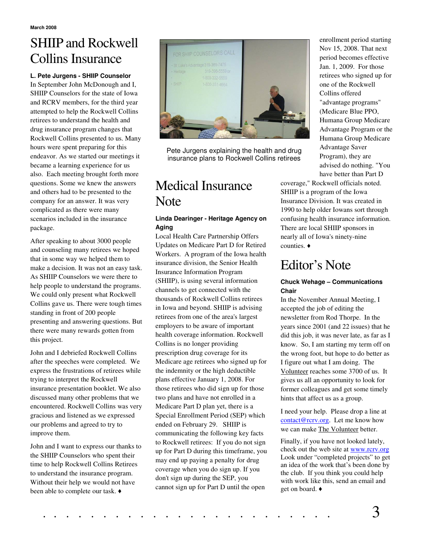# SHIIP and Rockwell Collins Insurance

#### **L. Pete Jurgens - SHIIP Counselor**

In September John McDonough and I, SHIIP Counselors for the state of Iowa and RCRV members, for the third year attempted to help the Rockwell Collins retirees to understand the health and drug insurance program changes that Rockwell Collins presented to us. Many hours were spent preparing for this endeavor. As we started our meetings it became a learning experience for us also. Each meeting brought forth more questions. Some we knew the answers and others had to be presented to the company for an answer. It was very complicated as there were many scenarios included in the insurance package.

After speaking to about 3000 people and counseling many retirees we hoped that in some way we helped them to make a decision. It was not an easy task. As SHIIP Counselors we were there to help people to understand the programs. We could only present what Rockwell Collins gave us. There were tough times standing in front of 200 people presenting and answering questions. But there were many rewards gotten from this project.

John and I debriefed Rockwell Collins after the speeches were completed. We express the frustrations of retirees while trying to interpret the Rockwell insurance presentation booklet. We also discussed many other problems that we encountered. Rockwell Collins was very gracious and listened as we expressed our problems and agreed to try to improve them.

John and I want to express our thanks to the SHIIP Counselors who spent their time to help Rockwell Collins Retirees to understand the insurance program. Without their help we would not have been able to complete our task.  $\triangleleft$ 



Pete Jurgens explaining the health and drug insurance plans to Rockwell Collins retirees

# Medical Insurance Note

### **Linda Dearinger - Heritage Agency on Aging**

Local Health Care Partnership Offers Updates on Medicare Part D for Retired Workers. A program of the Iowa health insurance division, the Senior Health Insurance Information Program (SHIIP), is using several information channels to get connected with the thousands of Rockwell Collins retirees in Iowa and beyond. SHIIP is advising retirees from one of the area's largest employers to be aware of important health coverage information. Rockwell Collins is no longer providing prescription drug coverage for its Medicare age retirees who signed up for the indemnity or the high deductible plans effective January 1, 2008. For those retirees who did sign up for those two plans and have not enrolled in a Medicare Part D plan yet, there is a Special Enrollment Period (SEP) which ended on February 29. SHIIP is communicating the following key facts to Rockwell retirees: If you do not sign up for Part D during this timeframe, you may end up paying a penalty for drug coverage when you do sign up. If you don't sign up during the SEP, you cannot sign up for Part D until the open

enrollment period starting Nov 15, 2008. That next period becomes effective Jan. 1, 2009. For those retirees who signed up for one of the Rockwell Collins offered "advantage programs" (Medicare Blue PPO, Humana Group Medicare Advantage Program or the Humana Group Medicare Advantage Saver Program), they are advised do nothing. "You have better than Part D

coverage," Rockwell officials noted. SHIIP is a program of the Iowa Insurance Division. It was created in 1990 to help older Iowans sort through confusing health insurance information. There are local SHIIP sponsors in nearly all of Iowa's ninety-nine counties.

### Editor's Note

#### **Chuck Wehage – Communications Chair**

In the November Annual Meeting, I accepted the job of editing the newsletter from Rod Thorpe. In the years since 2001 (and 22 issues) that he did this job, it was never late, as far as I know. So, I am starting my term off on the wrong foot, but hope to do better as I figure out what I am doing. The Volunteer reaches some 3700 of us. It gives us all an opportunity to look for former colleagues and get some timely hints that affect us as a group.

I need your help. Please drop a line at contact@rcrv.org. Let me know how we can make The Volunteer better.

Finally, if you have not looked lately, check out the web site at www.rcrv.org Look under "completed projects" to get an idea of the work that's been done by the club. If you think you could help with work like this, send an email and get on board.

. . . . . . . . . . . . . . . . . . . . . . . . 3